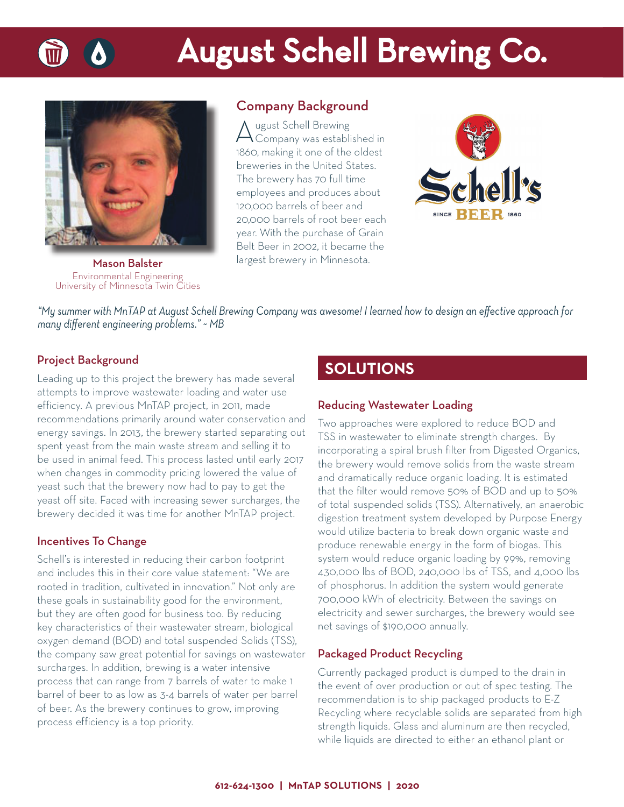

# **August Schell Brewing Co.**



Mason Balster Environmental Engineering University of Minnesota Twin Cities

## Company Background

August Schell Brewing<br>
Company was established in 1860, making it one of the oldest breweries in the United States. The brewery has 70 full time employees and produces about 120,000 barrels of beer and 20,000 barrels of root beer each year. With the purchase of Grain Belt Beer in 2002, it became the largest brewery in Minnesota.



*"My summer with MnTAP at August Schell Brewing Company was awesome! I learned how to design an eff ective approach for many diff erent engineering problems." ~ MB*

### Project Background

Leading up to this project the brewery has made several attempts to improve wastewater loading and water use efficiency. A previous MnTAP project, in 2011, made recommendations primarily around water conservation and energy savings. In 2013, the brewery started separating out spent yeast from the main waste stream and selling it to be used in animal feed. This process lasted until early 2017 when changes in commodity pricing lowered the value of yeast such that the brewery now had to pay to get the yeast off site. Faced with increasing sewer surcharges, the brewery decided it was time for another MnTAP project.

#### Incentives To Change

Schell's is interested in reducing their carbon footprint and includes this in their core value statement: "We are rooted in tradition, cultivated in innovation." Not only are these goals in sustainability good for the environment, but they are often good for business too. By reducing key characteristics of their wastewater stream, biological oxygen demand (BOD) and total suspended Solids (TSS), the company saw great potential for savings on wastewater surcharges. In addition, brewing is a water intensive process that can range from 7 barrels of water to make 1 barrel of beer to as low as 3-4 barrels of water per barrel of beer. As the brewery continues to grow, improving process efficiency is a top priority.

# **SOLUTIONS**

#### Reducing Wastewater Loading

Two approaches were explored to reduce BOD and TSS in wastewater to eliminate strength charges. By incorporating a spiral brush filter from Digested Organics, the brewery would remove solids from the waste stream and dramatically reduce organic loading. It is estimated that the filter would remove 50% of BOD and up to 50% of total suspended solids (TSS). Alternatively, an anaerobic digestion treatment system developed by Purpose Energy would utilize bacteria to break down organic waste and produce renewable energy in the form of biogas. This system would reduce organic loading by 99%, removing 430,000 lbs of BOD, 240,000 lbs of TSS, and 4,000 lbs of phosphorus. In addition the system would generate 700,000 kWh of electricity. Between the savings on electricity and sewer surcharges, the brewery would see net savings of \$190,000 annually.

#### Packaged Product Recycling

Currently packaged product is dumped to the drain in the event of over production or out of spec testing. The recommendation is to ship packaged products to E-Z Recycling where recyclable solids are separated from high strength liquids. Glass and aluminum are then recycled, while liquids are directed to either an ethanol plant or